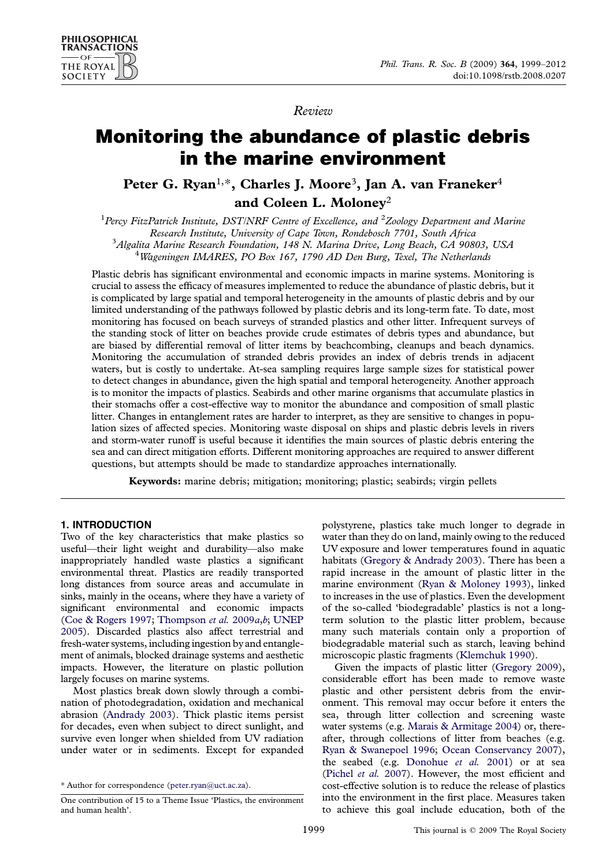

Review

# Monitoring the abundance of plastic debris in the marine environment

Peter G. Ryan<sup>1,\*</sup>, Charles J. Moore<sup>3</sup>, Jan A. van Franeker<sup>4</sup> and Coleen L. Molonev<sup>2</sup>

<sup>1</sup> Percy FitzPatrick Institute, DST/NRF Centre of Excellence, and <sup>2</sup> Zoology Department and Marine Research Institute, University of Cape Town, Rondebosch 7701, South Africa <sup>3</sup>  $3A$ lgalita Marine Research Foundation, 148 N. Marina Drive, Long Beach, CA 90803, USA <sup>4</sup> Wageningen IMARES, PO Box 167, 1790 AD Den Burg, Texel, The Netherlands

Plastic debris has significant environmental and economic impacts in marine systems. Monitoring is crucial to assess the efficacy of measures implemented to reduce the abundance of plastic debris, but it is complicated by large spatial and temporal heterogeneity in the amounts of plastic debris and by our limited understanding of the pathways followed by plastic debris and its long-term fate. To date, most monitoring has focused on beach surveys of stranded plastics and other litter. Infrequent surveys of the standing stock of litter on beaches provide crude estimates of debris types and abundance, but are biased by differential removal of litter items by beachcombing, cleanups and beach dynamics. Monitoring the accumulation of stranded debris provides an index of debris trends in adjacent waters, but is costly to undertake. At-sea sampling requires large sample sizes for statistical power to detect changes in abundance, given the high spatial and temporal heterogeneity. Another approach is to monitor the impacts of plastics. Seabirds and other marine organisms that accumulate plastics in their stomachs offer a cost-effective way to monitor the abundance and composition of small plastic litter. Changes in entanglement rates are harder to interpret, as they are sensitive to changes in population sizes of affected species. Monitoring waste disposal on ships and plastic debris levels in rivers and storm-water runoff is useful because it identifies the main sources of plastic debris entering the sea and can direct mitigation efforts. Different monitoring approaches are required to answer different questions, but attempts should be made to standardize approaches internationally.

Keywords: marine debris; mitigation; monitoring; plastic; seabirds; virgin pellets

# 1. INTRODUCTION

Two of the key characteristics that make plastics so useful—their light weight and durability—also make inappropriately handled waste plastics a significant environmental threat. Plastics are readily transported long distances from source areas and accumulate in sinks, mainly in the oceans, where they have a variety of significant environmental and economic impacts ([Coe & Rogers 1997](#page-11-0); [Thompson](#page-13-0) et al. 2009a,[b](#page-13-0); [UNEP](#page-13-0) [2005\)](#page-13-0). Discarded plastics also affect terrestrial and fresh-water systems, including ingestion by and entanglement of animals, blocked drainage systems and aesthetic impacts. However, the literature on plastic pollution largely focuses on marine systems.

Most plastics break down slowly through a combination of photodegradation, oxidation and mechanical abrasion [\(Andrady 2003](#page-10-0)). Thick plastic items persist for decades, even when subject to direct sunlight, and survive even longer when shielded from UV radiation under water or in sediments. Except for expanded polystyrene, plastics take much longer to degrade in water than they do on land, mainly owing to the reduced UV exposure and lower temperatures found in aquatic habitats [\(Gregory & Andrady 2003\)](#page-11-0). There has been a rapid increase in the amount of plastic litter in the marine environment ([Ryan & Moloney 1993\)](#page-12-0), linked to increases in the use of plastics. Even the development of the so-called 'biodegradable' plastics is not a longterm solution to the plastic litter problem, because many such materials contain only a proportion of biodegradable material such as starch, leaving behind microscopic plastic fragments ([Klemchuk 1990\)](#page-11-0).

Given the impacts of plastic litter [\(Gregory 2009](#page-11-0)), considerable effort has been made to remove waste plastic and other persistent debris from the environment. This removal may occur before it enters the sea, through litter collection and screening waste water systems (e.g. [Marais & Armitage 2004\)](#page-12-0) or, thereafter, through collections of litter from beaches (e.g. [Ryan & Swanepoel 1996](#page-12-0); [Ocean Conservancy 2007](#page-12-0)), the seabed (e.g. [Donohue](#page-11-0) et al. 2001) or at sea ([Pichel](#page-12-0) et al. 2007). However, the most efficient and cost-effective solution is to reduce the release of plastics into the environment in the first place. Measures taken to achieve this goal include education, both of the

<sup>\*</sup> Author for correspondence [\(peter.ryan@uct.ac.za](mailto:peter.ryan@uct.ac.za)).

One contribution of 15 to a Theme Issue 'Plastics, the environment and human health'.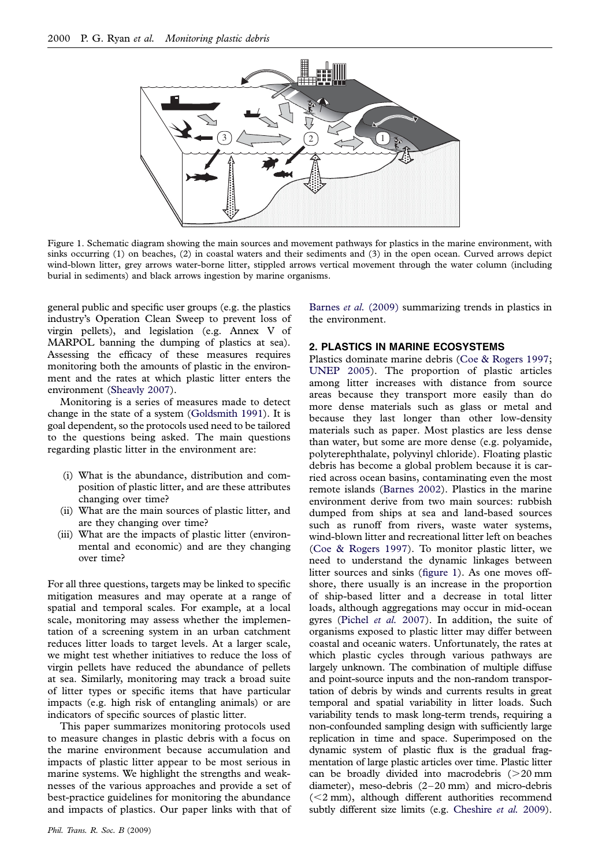<span id="page-1-0"></span>

Figure 1. Schematic diagram showing the main sources and movement pathways for plastics in the marine environment, with sinks occurring (1) on beaches, (2) in coastal waters and their sediments and (3) in the open ocean. Curved arrows depict wind-blown litter, grey arrows water-borne litter, stippled arrows vertical movement through the water column (including burial in sediments) and black arrows ingestion by marine organisms.

general public and specific user groups (e.g. the plastics industry's Operation Clean Sweep to prevent loss of virgin pellets), and legislation (e.g. Annex V of MARPOL banning the dumping of plastics at sea). Assessing the efficacy of these measures requires monitoring both the amounts of plastic in the environment and the rates at which plastic litter enters the environment ([Sheavly 2007](#page-13-0)).

Monitoring is a series of measures made to detect change in the state of a system [\(Goldsmith 1991\)](#page-11-0). It is goal dependent, so the protocols used need to be tailored to the questions being asked. The main questions regarding plastic litter in the environment are:

- (i) What is the abundance, distribution and composition of plastic litter, and are these attributes changing over time?
- (ii) What are the main sources of plastic litter, and are they changing over time?
- (iii) What are the impacts of plastic litter (environmental and economic) and are they changing over time?

For all three questions, targets may be linked to specific mitigation measures and may operate at a range of spatial and temporal scales. For example, at a local scale, monitoring may assess whether the implementation of a screening system in an urban catchment reduces litter loads to target levels. At a larger scale, we might test whether initiatives to reduce the loss of virgin pellets have reduced the abundance of pellets at sea. Similarly, monitoring may track a broad suite of litter types or specific items that have particular impacts (e.g. high risk of entangling animals) or are indicators of specific sources of plastic litter.

This paper summarizes monitoring protocols used to measure changes in plastic debris with a focus on the marine environment because accumulation and impacts of plastic litter appear to be most serious in marine systems. We highlight the strengths and weaknesses of the various approaches and provide a set of best-practice guidelines for monitoring the abundance and impacts of plastics. Our paper links with that of

Phil. Trans. R. Soc. B (2009)

[Barnes](#page-10-0) et al. (2009) summarizing trends in plastics in the environment.

# 2. PLASTICS IN MARINE ECOSYSTEMS

Plastics dominate marine debris ([Coe & Rogers 1997](#page-11-0); [UNEP 2005\)](#page-13-0). The proportion of plastic articles among litter increases with distance from source areas because they transport more easily than do more dense materials such as glass or metal and because they last longer than other low-density materials such as paper. Most plastics are less dense than water, but some are more dense (e.g. polyamide, polyterephthalate, polyvinyl chloride). Floating plastic debris has become a global problem because it is carried across ocean basins, contaminating even the most remote islands [\(Barnes 2002](#page-10-0)). Plastics in the marine environment derive from two main sources: rubbish dumped from ships at sea and land-based sources such as runoff from rivers, waste water systems, wind-blown litter and recreational litter left on beaches [\(Coe & Rogers 1997\)](#page-11-0). To monitor plastic litter, we need to understand the dynamic linkages between litter sources and sinks (figure 1). As one moves offshore, there usually is an increase in the proportion of ship-based litter and a decrease in total litter loads, although aggregations may occur in mid-ocean gyres [\(Pichel](#page-12-0) et al. 2007). In addition, the suite of organisms exposed to plastic litter may differ between coastal and oceanic waters. Unfortunately, the rates at which plastic cycles through various pathways are largely unknown. The combination of multiple diffuse and point-source inputs and the non-random transportation of debris by winds and currents results in great temporal and spatial variability in litter loads. Such variability tends to mask long-term trends, requiring a non-confounded sampling design with sufficiently large replication in time and space. Superimposed on the dynamic system of plastic flux is the gradual fragmentation of large plastic articles over time. Plastic litter can be broadly divided into macrodebris  $(>20 \text{ mm})$ diameter), meso-debris (2–20 mm) and micro-debris  $(< 2$  mm), although different authorities recommend subtly different size limits (e.g. [Cheshire](#page-10-0) et al. 2009).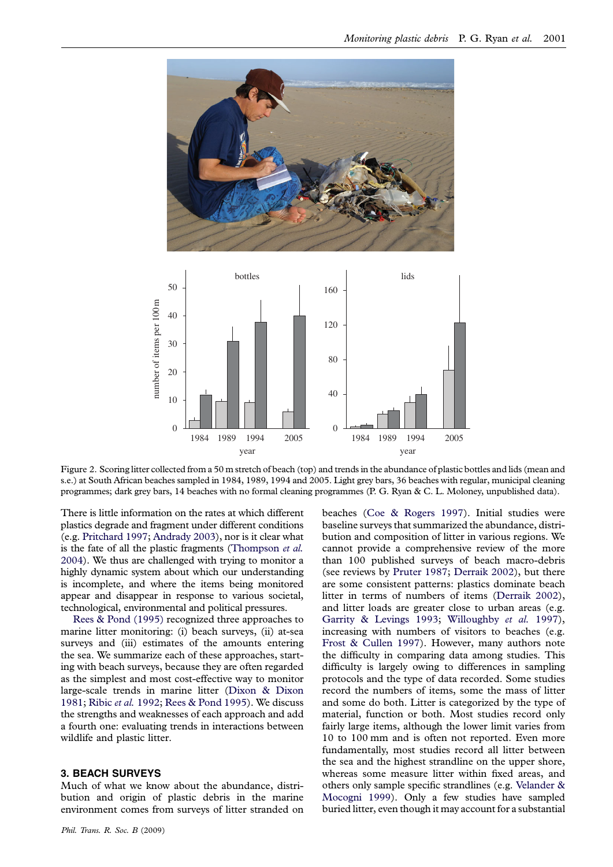<span id="page-2-0"></span>

Figure 2. Scoring litter collected from a 50 m stretch of beach (top) and trends in the abundance of plastic bottles and lids (mean and s.e.) at South African beaches sampled in 1984, 1989, 1994 and 2005. Light grey bars, 36 beaches with regular, municipal cleaning programmes; dark grey bars, 14 beaches with no formal cleaning programmes (P. G. Ryan & C. L. Moloney, unpublished data).

There is little information on the rates at which different plastics degrade and fragment under different conditions (e.g. [Pritchard 1997;](#page-12-0) [Andrady 2003](#page-10-0)), nor is it clear what is the fate of all the plastic fragments [\(Thompson](#page-13-0) et al. [2004\)](#page-13-0). We thus are challenged with trying to monitor a highly dynamic system about which our understanding is incomplete, and where the items being monitored appear and disappear in response to various societal, technological, environmental and political pressures.

[Rees & Pond \(1995\)](#page-12-0) recognized three approaches to marine litter monitoring: (i) beach surveys, (ii) at-sea surveys and (iii) estimates of the amounts entering the sea. We summarize each of these approaches, starting with beach surveys, because they are often regarded as the simplest and most cost-effective way to monitor large-scale trends in marine litter ([Dixon & Dixon](#page-11-0) [1981;](#page-11-0) [Ribic](#page-12-0) et al. 1992; [Rees & Pond 1995\)](#page-12-0). We discuss the strengths and weaknesses of each approach and add a fourth one: evaluating trends in interactions between wildlife and plastic litter.

#### 3. BEACH SURVEYS

Much of what we know about the abundance, distribution and origin of plastic debris in the marine environment comes from surveys of litter stranded on

beaches [\(Coe & Rogers 1997](#page-11-0)). Initial studies were baseline surveys that summarized the abundance, distribution and composition of litter in various regions. We cannot provide a comprehensive review of the more than 100 published surveys of beach macro-debris (see reviews by [Pruter 1987;](#page-12-0) [Derraik 2002](#page-11-0)), but there are some consistent patterns: plastics dominate beach litter in terms of numbers of items [\(Derraik 2002](#page-11-0)), and litter loads are greater close to urban areas (e.g. [Garrity & Levings 1993;](#page-11-0) [Willoughby](#page-13-0) et al. 1997), increasing with numbers of visitors to beaches (e.g. [Frost & Cullen 1997\)](#page-11-0). However, many authors note the difficulty in comparing data among studies. This difficulty is largely owing to differences in sampling protocols and the type of data recorded. Some studies record the numbers of items, some the mass of litter and some do both. Litter is categorized by the type of material, function or both. Most studies record only fairly large items, although the lower limit varies from 10 to 100 mm and is often not reported. Even more fundamentally, most studies record all litter between the sea and the highest strandline on the upper shore, whereas some measure litter within fixed areas, and others only sample specific strandlines (e.g. [Velander &](#page-13-0) [Mocogni 1999\)](#page-13-0). Only a few studies have sampled buried litter, even though it may account for a substantial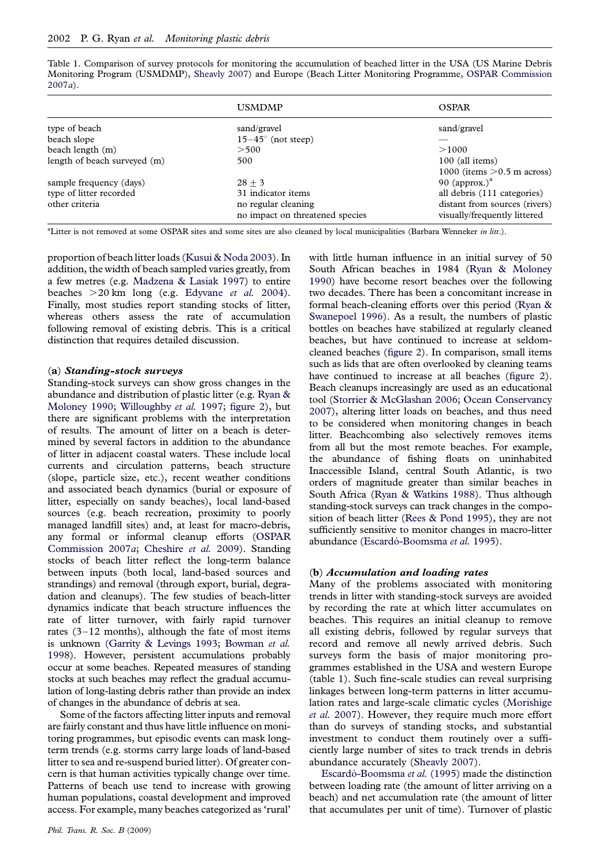| <b>OSPAR</b>                  |
|-------------------------------|
| sand/gravel                   |
|                               |
| >1000                         |
| 100 (all items)               |
| 1000 (items $> 0.5$ m across) |
| 90 (approx.) $^{\rm a}$       |
| all debris (111 categories)   |
| distant from sources (rivers) |
| visually/frequently littered  |
|                               |

<span id="page-3-0"></span>Table 1. Comparison of survey protocols for monitoring the accumulation of beached litter in the USA (US Marine Debris Monitoring Program (USMDMP), [Sheavly 2007](#page-13-0)) and Europe (Beach Litter Monitoring Programme, [OSPAR Commission](#page-12-0)  $2007a$  $2007a$ 

<sup>a</sup>Litter is not removed at some OSPAR sites and some sites are also cleaned by local municipalities (Barbara Wenneker in litt.).

proportion of beach litter loads [\(Kusui & Noda 2003\)](#page-11-0). In addition, the width of beach sampled varies greatly, from a few metres (e.g. [Madzena & Lasiak 1997\)](#page-11-0) to entire beaches  $>20$  km long (e.g. [Edyvane](#page-11-0) *et al.* 2004). Finally, most studies report standing stocks of litter, whereas others assess the rate of accumulation following removal of existing debris. This is a critical distinction that requires detailed discussion.

#### (a) Standing-stock surveys

Standing-stock surveys can show gross changes in the abundance and distribution of plastic litter (e.g. [Ryan &](#page-12-0) [Moloney 1990](#page-12-0); [Willoughby](#page-13-0) et al. 1997; [figure 2](#page-2-0)), but there are significant problems with the interpretation of results. The amount of litter on a beach is determined by several factors in addition to the abundance of litter in adjacent coastal waters. These include local currents and circulation patterns, beach structure (slope, particle size, etc.), recent weather conditions and associated beach dynamics (burial or exposure of litter, especially on sandy beaches), local land-based sources (e.g. beach recreation, proximity to poorly managed landfill sites) and, at least for macro-debris, any formal or informal cleanup efforts ([OSPAR](#page-12-0) [Commission 2007](#page-12-0)a; [Cheshire](#page-10-0) et al. 2009). Standing stocks of beach litter reflect the long-term balance between inputs (both local, land-based sources and strandings) and removal (through export, burial, degradation and cleanups). The few studies of beach-litter dynamics indicate that beach structure influences the rate of litter turnover, with fairly rapid turnover rates (3–12 months), although the fate of most items is unknown ([Garrity & Levings 1993](#page-11-0); [Bowman](#page-10-0) et al. [1998\)](#page-10-0). However, persistent accumulations probably occur at some beaches. Repeated measures of standing stocks at such beaches may reflect the gradual accumulation of long-lasting debris rather than provide an index of changes in the abundance of debris at sea.

Some of the factors affecting litter inputs and removal are fairly constant and thus have little influence on monitoring programmes, but episodic events can mask longterm trends (e.g. storms carry large loads of land-based litter to sea and re-suspend buried litter). Of greater concern is that human activities typically change over time. Patterns of beach use tend to increase with growing human populations, coastal development and improved access. For example, many beaches categorized as 'rural'

with little human influence in an initial survey of 50 South African beaches in 1984 [\(Ryan & Moloney](#page-12-0) [1990\)](#page-12-0) have become resort beaches over the following two decades. There has been a concomitant increase in formal beach-cleaning efforts over this period [\(Ryan &](#page-12-0) [Swanepoel 1996](#page-12-0)). As a result, the numbers of plastic bottles on beaches have stabilized at regularly cleaned beaches, but have continued to increase at seldomcleaned beaches [\(figure 2](#page-2-0)). In comparison, small items such as lids that are often overlooked by cleaning teams have continued to increase at all beaches ([figure 2\)](#page-2-0). Beach cleanups increasingly are used as an educational tool ([Storrier & McGlashan 2006](#page-13-0); [Ocean Conservancy](#page-12-0) [2007\)](#page-12-0), altering litter loads on beaches, and thus need to be considered when monitoring changes in beach litter. Beachcombing also selectively removes items from all but the most remote beaches. For example, the abundance of fishing floats on uninhabited Inaccessible Island, central South Atlantic, is two orders of magnitude greater than similar beaches in South Africa ([Ryan & Watkins 1988](#page-12-0)). Thus although standing-stock surveys can track changes in the composition of beach litter ([Rees & Pond 1995\)](#page-12-0), they are not sufficiently sensitive to monitor changes in macro-litter abundance (Escardó-Boomsma et al. 1995).

#### (b) Accumulation and loading rates

Many of the problems associated with monitoring trends in litter with standing-stock surveys are avoided by recording the rate at which litter accumulates on beaches. This requires an initial cleanup to remove all existing debris, followed by regular surveys that record and remove all newly arrived debris. Such surveys form the basis of major monitoring programmes established in the USA and western Europe (table 1). Such fine-scale studies can reveal surprising linkages between long-term patterns in litter accumulation rates and large-scale climatic cycles [\(Morishige](#page-12-0) et al. [2007\)](#page-12-0). However, they require much more effort than do surveys of standing stocks, and substantial investment to conduct them routinely over a sufficiently large number of sites to track trends in debris abundance accurately [\(Sheavly 2007\)](#page-13-0).

Escardó-Boomsma et al. (1995) made the distinction between loading rate (the amount of litter arriving on a beach) and net accumulation rate (the amount of litter that accumulates per unit of time). Turnover of plastic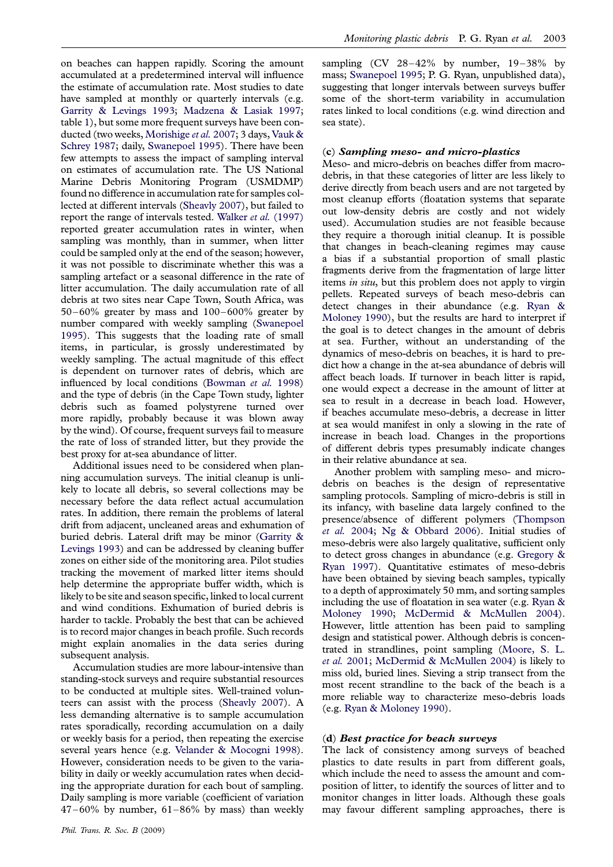on beaches can happen rapidly. Scoring the amount accumulated at a predetermined interval will influence the estimate of accumulation rate. Most studies to date have sampled at monthly or quarterly intervals (e.g. [Garrity & Levings 1993;](#page-11-0) [Madzena & Lasiak 1997](#page-11-0); table [1](#page-3-0)), but some more frequent surveys have been conducted (two weeks, [Morishige](#page-12-0) et al. 2007; 3 days, [Vauk &](#page-13-0) [Schrey 1987](#page-13-0); daily, [Swanepoel 1995](#page-13-0)). There have been few attempts to assess the impact of sampling interval on estimates of accumulation rate. The US National Marine Debris Monitoring Program (USMDMP) found no difference in accumulation rate for samples collected at different intervals ([Sheavly 2007](#page-13-0)), but failed to report the range of intervals tested. [Walker](#page-13-0) et al. (1997) reported greater accumulation rates in winter, when sampling was monthly, than in summer, when litter could be sampled only at the end of the season; however, it was not possible to discriminate whether this was a sampling artefact or a seasonal difference in the rate of litter accumulation. The daily accumulation rate of all debris at two sites near Cape Town, South Africa, was 50–60% greater by mass and 100–600% greater by number compared with weekly sampling [\(Swanepoel](#page-13-0) [1995\)](#page-13-0). This suggests that the loading rate of small items, in particular, is grossly underestimated by weekly sampling. The actual magnitude of this effect is dependent on turnover rates of debris, which are influenced by local conditions [\(Bowman](#page-10-0) et al. 1998) and the type of debris (in the Cape Town study, lighter debris such as foamed polystyrene turned over more rapidly, probably because it was blown away by the wind). Of course, frequent surveys fail to measure the rate of loss of stranded litter, but they provide the best proxy for at-sea abundance of litter.

Additional issues need to be considered when planning accumulation surveys. The initial cleanup is unlikely to locate all debris, so several collections may be necessary before the data reflect actual accumulation rates. In addition, there remain the problems of lateral drift from adjacent, uncleaned areas and exhumation of buried debris. Lateral drift may be minor [\(Garrity &](#page-11-0) [Levings 1993\)](#page-11-0) and can be addressed by cleaning buffer zones on either side of the monitoring area. Pilot studies tracking the movement of marked litter items should help determine the appropriate buffer width, which is likely to be site and season specific, linked to local current and wind conditions. Exhumation of buried debris is harder to tackle. Probably the best that can be achieved is to record major changes in beach profile. Such records might explain anomalies in the data series during subsequent analysis.

Accumulation studies are more labour-intensive than standing-stock surveys and require substantial resources to be conducted at multiple sites. Well-trained volunteers can assist with the process [\(Sheavly 2007\)](#page-13-0). A less demanding alternative is to sample accumulation rates sporadically, recording accumulation on a daily or weekly basis for a period, then repeating the exercise several years hence (e.g. [Velander & Mocogni 1998](#page-13-0)). However, consideration needs to be given to the variability in daily or weekly accumulation rates when deciding the appropriate duration for each bout of sampling. Daily sampling is more variable (coefficient of variation  $47-60\%$  by number,  $61-86\%$  by mass) than weekly

sampling  $(CV \ 28-42\% \text{ by number}, 19-38\% \text{ by}$ mass; [Swanepoel 1995](#page-13-0); P. G. Ryan, unpublished data), suggesting that longer intervals between surveys buffer some of the short-term variability in accumulation rates linked to local conditions (e.g. wind direction and sea state).

# (c) Sampling meso- and micro-plastics

Meso- and micro-debris on beaches differ from macrodebris, in that these categories of litter are less likely to derive directly from beach users and are not targeted by most cleanup efforts (floatation systems that separate out low-density debris are costly and not widely used). Accumulation studies are not feasible because they require a thorough initial cleanup. It is possible that changes in beach-cleaning regimes may cause a bias if a substantial proportion of small plastic fragments derive from the fragmentation of large litter items in situ, but this problem does not apply to virgin pellets. Repeated surveys of beach meso-debris can detect changes in their abundance (e.g. [Ryan &](#page-12-0) [Moloney 1990](#page-12-0)), but the results are hard to interpret if the goal is to detect changes in the amount of debris at sea. Further, without an understanding of the dynamics of meso-debris on beaches, it is hard to predict how a change in the at-sea abundance of debris will affect beach loads. If turnover in beach litter is rapid, one would expect a decrease in the amount of litter at sea to result in a decrease in beach load. However, if beaches accumulate meso-debris, a decrease in litter at sea would manifest in only a slowing in the rate of increase in beach load. Changes in the proportions of different debris types presumably indicate changes in their relative abundance at sea.

Another problem with sampling meso- and microdebris on beaches is the design of representative sampling protocols. Sampling of micro-debris is still in its infancy, with baseline data largely confined to the presence/absence of different polymers ([Thompson](#page-13-0) [et al.](#page-13-0) 2004; [Ng & Obbard 2006](#page-12-0)). Initial studies of meso-debris were also largely qualitative, sufficient only to detect gross changes in abundance (e.g. [Gregory &](#page-11-0) [Ryan 1997\)](#page-11-0). Quantitative estimates of meso-debris have been obtained by sieving beach samples, typically to a depth of approximately 50 mm, and sorting samples including the use of floatation in sea water (e.g. [Ryan &](#page-12-0) [Moloney 1990;](#page-12-0) [McDermid & McMullen 2004](#page-12-0)). However, little attention has been paid to sampling design and statistical power. Although debris is concentrated in strandlines, point sampling ([Moore, S. L.](#page-12-0) et al. [2001;](#page-12-0) [McDermid & McMullen 2004\)](#page-12-0) is likely to miss old, buried lines. Sieving a strip transect from the most recent strandline to the back of the beach is a more reliable way to characterize meso-debris loads (e.g. [Ryan & Moloney 1990\)](#page-12-0).

# (d) Best practice for beach surveys

The lack of consistency among surveys of beached plastics to date results in part from different goals, which include the need to assess the amount and composition of litter, to identify the sources of litter and to monitor changes in litter loads. Although these goals may favour different sampling approaches, there is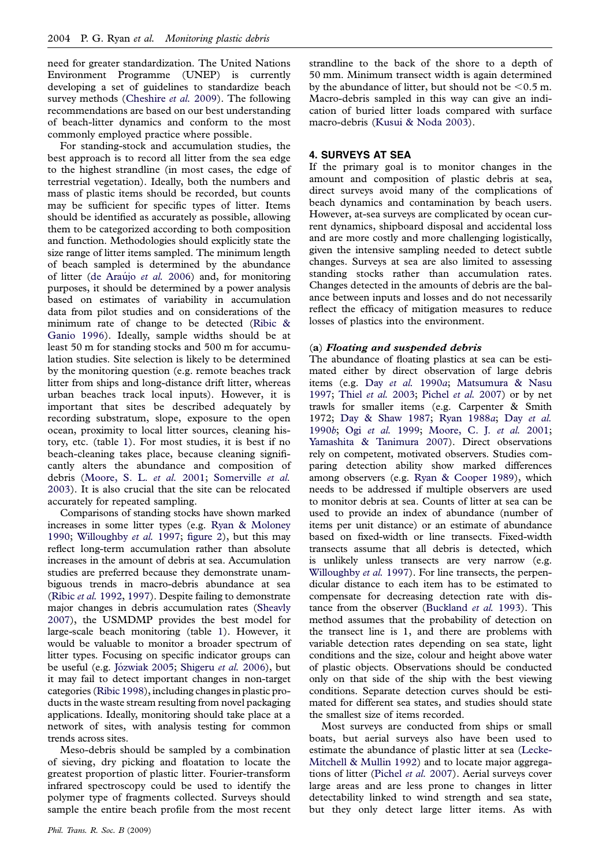need for greater standardization. The United Nations Environment Programme (UNEP) is currently developing a set of guidelines to standardize beach survey methods [\(Cheshire](#page-10-0) et al. 2009). The following recommendations are based on our best understanding of beach-litter dynamics and conform to the most commonly employed practice where possible.

For standing-stock and accumulation studies, the best approach is to record all litter from the sea edge to the highest strandline (in most cases, the edge of terrestrial vegetation). Ideally, both the numbers and mass of plastic items should be recorded, but counts may be sufficient for specific types of litter. Items should be identified as accurately as possible, allowing them to be categorized according to both composition and function. Methodologies should explicitly state the size range of litter items sampled. The minimum length of beach sampled is determined by the abundance of litter (de Araújo et al. 2006) and, for monitoring purposes, it should be determined by a power analysis based on estimates of variability in accumulation data from pilot studies and on considerations of the minimum rate of change to be detected [\(Ribic &](#page-12-0) [Ganio 1996](#page-12-0)). Ideally, sample widths should be at least 50 m for standing stocks and 500 m for accumulation studies. Site selection is likely to be determined by the monitoring question (e.g. remote beaches track litter from ships and long-distance drift litter, whereas urban beaches track local inputs). However, it is important that sites be described adequately by recording substratum, slope, exposure to the open ocean, proximity to local litter sources, cleaning history, etc. (table [1](#page-3-0)). For most studies, it is best if no beach-cleaning takes place, because cleaning significantly alters the abundance and composition of debris [\(Moore, S. L.](#page-12-0) et al. 2001; [Somerville](#page-13-0) et al. [2003](#page-13-0)). It is also crucial that the site can be relocated accurately for repeated sampling.

Comparisons of standing stocks have shown marked increases in some litter types (e.g. [Ryan & Moloney](#page-12-0) [1990;](#page-12-0) [Willoughby](#page-13-0) et al. 1997; [figure 2\)](#page-2-0), but this may reflect long-term accumulation rather than absolute increases in the amount of debris at sea. Accumulation studies are preferred because they demonstrate unambiguous trends in macro-debris abundance at sea [\(Ribic](#page-12-0) et al. 1992, [1997\)](#page-12-0). Despite failing to demonstrate major changes in debris accumulation rates ([Sheavly](#page-13-0) [2007\)](#page-13-0), the USMDMP provides the best model for large-scale beach monitoring (table [1](#page-3-0)). However, it would be valuable to monitor a broader spectrum of litter types. Focusing on specific indicator groups can be useful (e.g. Józwiak 2005; [Shigeru](#page-13-0) et al. 2006), but it may fail to detect important changes in non-target categories ([Ribic 1998\)](#page-12-0), including changes in plastic products in the waste stream resulting from novel packaging applications. Ideally, monitoring should take place at a network of sites, with analysis testing for common trends across sites.

Meso-debris should be sampled by a combination of sieving, dry picking and floatation to locate the greatest proportion of plastic litter. Fourier-transform infrared spectroscopy could be used to identify the polymer type of fragments collected. Surveys should sample the entire beach profile from the most recent

strandline to the back of the shore to a depth of 50 mm. Minimum transect width is again determined by the abundance of litter, but should not be  $\leq 0.5$  m. Macro-debris sampled in this way can give an indication of buried litter loads compared with surface macro-debris ([Kusui & Noda 2003\)](#page-11-0).

# 4. SURVEYS AT SEA

If the primary goal is to monitor changes in the amount and composition of plastic debris at sea, direct surveys avoid many of the complications of beach dynamics and contamination by beach users. However, at-sea surveys are complicated by ocean current dynamics, shipboard disposal and accidental loss and are more costly and more challenging logistically, given the intensive sampling needed to detect subtle changes. Surveys at sea are also limited to assessing standing stocks rather than accumulation rates. Changes detected in the amounts of debris are the balance between inputs and losses and do not necessarily reflect the efficacy of mitigation measures to reduce losses of plastics into the environment.

# (a) Floating and suspended debris

The abundance of floating plastics at sea can be estimated either by direct observation of large debris items (e.g. Day [et al.](#page-11-0) 1990a; [Matsumura & Nasu](#page-12-0) [1997;](#page-12-0) [Thiel](#page-13-0) et al. 2003; [Pichel](#page-12-0) et al. 2007) or by net trawls for smaller items (e.g. Carpenter & Smith 1972; [Day & Shaw 1987;](#page-11-0) [Ryan 1988](#page-12-0)a; Day [et al.](#page-11-0) [1990](#page-11-0)b; Ogi [et al.](#page-12-0) 1999; [Moore, C. J.](#page-12-0) et al. 2001; [Yamashita & Tanimura 2007\)](#page-13-0). Direct observations rely on competent, motivated observers. Studies comparing detection ability show marked differences among observers (e.g. [Ryan & Cooper 1989](#page-12-0)), which needs to be addressed if multiple observers are used to monitor debris at sea. Counts of litter at sea can be used to provide an index of abundance (number of items per unit distance) or an estimate of abundance based on fixed-width or line transects. Fixed-width transects assume that all debris is detected, which is unlikely unless transects are very narrow (e.g. [Willoughby](#page-13-0) *et al.* 1997). For line transects, the perpendicular distance to each item has to be estimated to compensate for decreasing detection rate with distance from the observer ([Buckland](#page-10-0) et al. 1993). This method assumes that the probability of detection on the transect line is 1, and there are problems with variable detection rates depending on sea state, light conditions and the size, colour and height above water of plastic objects. Observations should be conducted only on that side of the ship with the best viewing conditions. Separate detection curves should be estimated for different sea states, and studies should state the smallest size of items recorded.

Most surveys are conducted from ships or small boats, but aerial surveys also have been used to estimate the abundance of plastic litter at sea ([Lecke-](#page-11-0)[Mitchell & Mullin 1992](#page-11-0)) and to locate major aggregations of litter ([Pichel](#page-12-0) et al. 2007). Aerial surveys cover large areas and are less prone to changes in litter detectability linked to wind strength and sea state, but they only detect large litter items. As with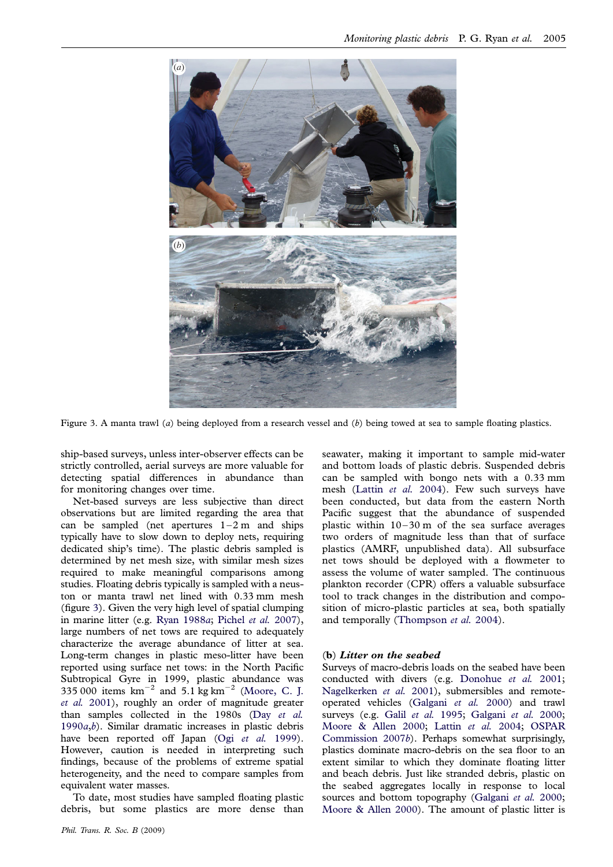

Figure 3. A manta trawl (a) being deployed from a research vessel and (b) being towed at sea to sample floating plastics.

ship-based surveys, unless inter-observer effects can be strictly controlled, aerial surveys are more valuable for detecting spatial differences in abundance than for monitoring changes over time.

Net-based surveys are less subjective than direct observations but are limited regarding the area that can be sampled (net apertures  $1-2$  m and ships typically have to slow down to deploy nets, requiring dedicated ship's time). The plastic debris sampled is determined by net mesh size, with similar mesh sizes required to make meaningful comparisons among studies. Floating debris typically is sampled with a neuston or manta trawl net lined with 0.33 mm mesh (figure 3). Given the very high level of spatial clumping in marine litter (e.g. [Ryan 1988](#page-12-0)a; [Pichel](#page-12-0) et al. 2007), large numbers of net tows are required to adequately characterize the average abundance of litter at sea. Long-term changes in plastic meso-litter have been reported using surface net tows: in the North Pacific Subtropical Gyre in 1999, plastic abundance was 335 000 items  $km^{-2}$  and 5.1 kg km<sup>-2</sup> [\(Moore, C. J.](#page-12-0) [et al.](#page-12-0) 2001), roughly an order of magnitude greater than samples collected in the 1980s (Day [et al.](#page-11-0) [1990](#page-11-0) $a$ , $b$ ). Similar dramatic increases in plastic debris have been reported off Japan (Ogi [et al.](#page-12-0) 1999). However, caution is needed in interpreting such findings, because of the problems of extreme spatial heterogeneity, and the need to compare samples from equivalent water masses.

To date, most studies have sampled floating plastic debris, but some plastics are more dense than

Phil. Trans. R. Soc. B (2009)

seawater, making it important to sample mid-water and bottom loads of plastic debris. Suspended debris can be sampled with bongo nets with a 0.33 mm mesh ([Lattin](#page-11-0) et al. 2004). Few such surveys have been conducted, but data from the eastern North Pacific suggest that the abundance of suspended plastic within  $10 - 30$  m of the sea surface averages two orders of magnitude less than that of surface plastics (AMRF, unpublished data). All subsurface net tows should be deployed with a flowmeter to assess the volume of water sampled. The continuous plankton recorder (CPR) offers a valuable subsurface tool to track changes in the distribution and composition of micro-plastic particles at sea, both spatially and temporally [\(Thompson](#page-13-0) et al. 2004).

#### (b) Litter on the seabed

Surveys of macro-debris loads on the seabed have been conducted with divers (e.g. [Donohue](#page-11-0) et al. 2001; [Nagelkerken](#page-12-0) et al. 2001), submersibles and remoteoperated vehicles ([Galgani](#page-11-0) et al. 2000) and trawl surveys (e.g. Galil [et al.](#page-11-0) 1995; [Galgani](#page-11-0) et al. 2000; [Moore & Allen 2000;](#page-12-0) [Lattin](#page-11-0) et al. 2004; [OSPAR](#page-12-0) [Commission 2007](#page-12-0)b). Perhaps somewhat surprisingly, plastics dominate macro-debris on the sea floor to an extent similar to which they dominate floating litter and beach debris. Just like stranded debris, plastic on the seabed aggregates locally in response to local sources and bottom topography [\(Galgani](#page-11-0) et al. 2000; [Moore & Allen 2000\)](#page-12-0). The amount of plastic litter is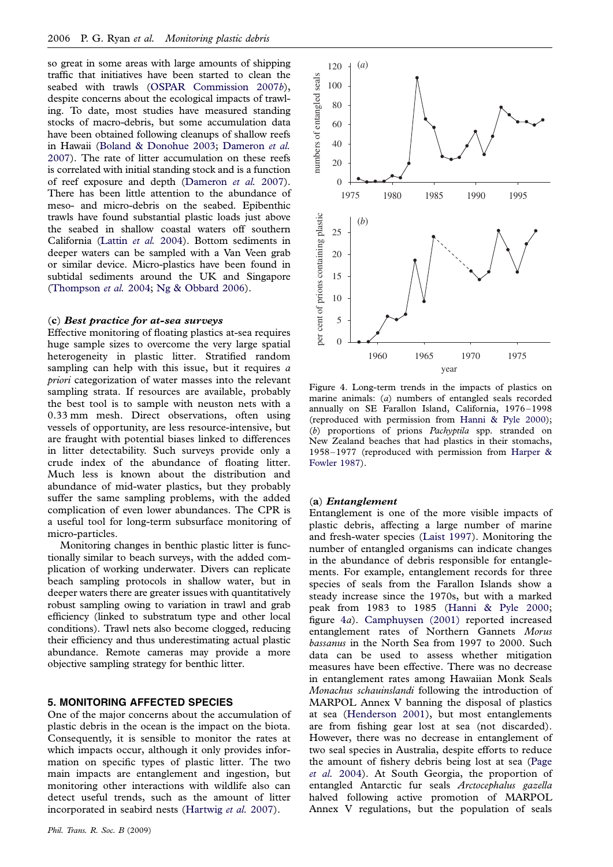<span id="page-7-0"></span>so great in some areas with large amounts of shipping traffic that initiatives have been started to clean the seabed with trawls [\(OSPAR Commission 2007](#page-12-0)b), despite concerns about the ecological impacts of trawling. To date, most studies have measured standing stocks of macro-debris, but some accumulation data have been obtained following cleanups of shallow reefs in Hawaii ([Boland & Donohue 2003](#page-10-0); [Dameron](#page-11-0) et al. [2007\)](#page-11-0). The rate of litter accumulation on these reefs is correlated with initial standing stock and is a function of reef exposure and depth ([Dameron](#page-11-0) et al. 2007). There has been little attention to the abundance of meso- and micro-debris on the seabed. Epibenthic trawls have found substantial plastic loads just above the seabed in shallow coastal waters off southern California ([Lattin](#page-11-0) et al. 2004). Bottom sediments in deeper waters can be sampled with a Van Veen grab or similar device. Micro-plastics have been found in subtidal sediments around the UK and Singapore [\(Thompson](#page-13-0) et al. 2004; [Ng & Obbard 2006\)](#page-12-0).

#### (c) Best practice for at-sea surveys

Effective monitoring of floating plastics at-sea requires huge sample sizes to overcome the very large spatial heterogeneity in plastic litter. Stratified random sampling can help with this issue, but it requires  $a$ priori categorization of water masses into the relevant sampling strata. If resources are available, probably the best tool is to sample with neuston nets with a 0.33 mm mesh. Direct observations, often using vessels of opportunity, are less resource-intensive, but are fraught with potential biases linked to differences in litter detectability. Such surveys provide only a crude index of the abundance of floating litter. Much less is known about the distribution and abundance of mid-water plastics, but they probably suffer the same sampling problems, with the added complication of even lower abundances. The CPR is a useful tool for long-term subsurface monitoring of micro-particles.

Monitoring changes in benthic plastic litter is functionally similar to beach surveys, with the added complication of working underwater. Divers can replicate beach sampling protocols in shallow water, but in deeper waters there are greater issues with quantitatively robust sampling owing to variation in trawl and grab efficiency (linked to substratum type and other local conditions). Trawl nets also become clogged, reducing their efficiency and thus underestimating actual plastic abundance. Remote cameras may provide a more objective sampling strategy for benthic litter.

## 5. MONITORING AFFECTED SPECIES

One of the major concerns about the accumulation of plastic debris in the ocean is the impact on the biota. Consequently, it is sensible to monitor the rates at which impacts occur, although it only provides information on specific types of plastic litter. The two main impacts are entanglement and ingestion, but monitoring other interactions with wildlife also can detect useful trends, such as the amount of litter incorporated in seabird nests [\(Hartwig](#page-11-0) et al. 2007).



Figure 4. Long-term trends in the impacts of plastics on marine animals: (a) numbers of entangled seals recorded annually on SE Farallon Island, California, 1976–1998 (reproduced with permission from [Hanni & Pyle 2000](#page-11-0)); (b) proportions of prions Pachyptila spp. stranded on New Zealand beaches that had plastics in their stomachs, 1958–1977 (reproduced with permission from [Harper &](#page-11-0) [Fowler 1987](#page-11-0)).

#### (a) Entanglement

Entanglement is one of the more visible impacts of plastic debris, affecting a large number of marine and fresh-water species ([Laist 1997](#page-11-0)). Monitoring the number of entangled organisms can indicate changes in the abundance of debris responsible for entanglements. For example, entanglement records for three species of seals from the Farallon Islands show a steady increase since the 1970s, but with a marked peak from 1983 to 1985 [\(Hanni & Pyle 2000](#page-11-0); figure 4a). [Camphuysen \(2001\)](#page-10-0) reported increased entanglement rates of Northern Gannets Morus bassanus in the North Sea from 1997 to 2000. Such data can be used to assess whether mitigation measures have been effective. There was no decrease in entanglement rates among Hawaiian Monk Seals Monachus schauinslandi following the introduction of MARPOL Annex V banning the disposal of plastics at sea [\(Henderson 2001](#page-11-0)), but most entanglements are from fishing gear lost at sea (not discarded). However, there was no decrease in entanglement of two seal species in Australia, despite efforts to reduce the amount of fishery debris being lost at sea ([Page](#page-12-0) [et al.](#page-12-0) 2004). At South Georgia, the proportion of entangled Antarctic fur seals Arctocephalus gazella halved following active promotion of MARPOL Annex V regulations, but the population of seals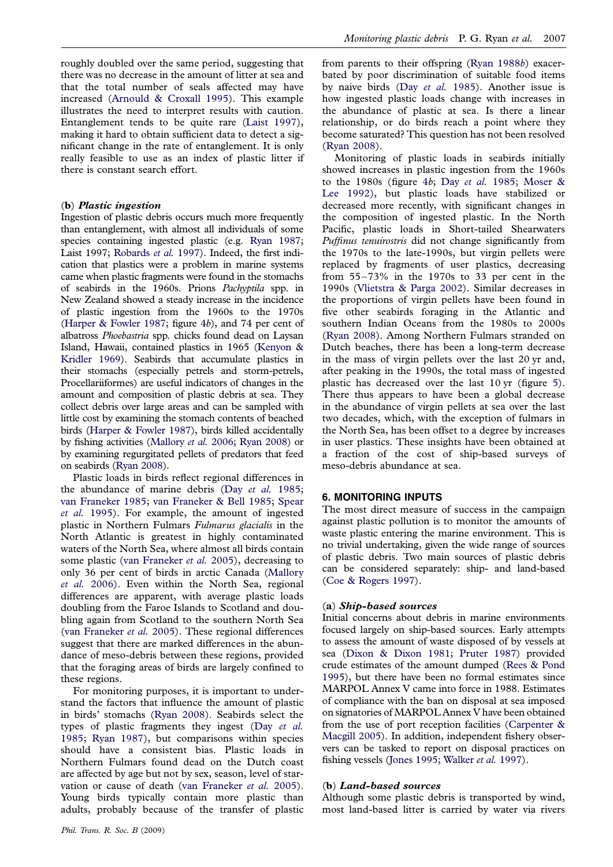roughly doubled over the same period, suggesting that there was no decrease in the amount of litter at sea and that the total number of seals affected may have increased ([Arnould & Croxall 1995](#page-10-0)). This example illustrates the need to interpret results with caution. Entanglement tends to be quite rare [\(Laist 1997](#page-11-0)), making it hard to obtain sufficient data to detect a significant change in the rate of entanglement. It is only really feasible to use as an index of plastic litter if there is constant search effort.

# (b) Plastic ingestion

Ingestion of plastic debris occurs much more frequently than entanglement, with almost all individuals of some species containing ingested plastic (e.g. [Ryan 1987](#page-12-0); Laist 1997; [Robards](#page-12-0) et al. 1997). Indeed, the first indication that plastics were a problem in marine systems came when plastic fragments were found in the stomachs of seabirds in the 1960s. Prions Pachyptila spp. in New Zealand showed a steady increase in the incidence of plastic ingestion from the 1960s to the 1970s ([Harper & Fowler 1987](#page-11-0); figure [4](#page-7-0)b), and 74 per cent of albatross Phoebastria spp. chicks found dead on Laysan Island, Hawaii, contained plastics in 1965 [\(Kenyon &](#page-11-0) [Kridler 1969](#page-11-0)). Seabirds that accumulate plastics in their stomachs (especially petrels and storm-petrels, Procellariiformes) are useful indicators of changes in the amount and composition of plastic debris at sea. They collect debris over large areas and can be sampled with little cost by examining the stomach contents of beached birds [\(Harper & Fowler 1987](#page-11-0)), birds killed accidentally by fishing activities [\(Mallory](#page-12-0) et al. 2006; [Ryan 2008](#page-12-0)) or by examining regurgitated pellets of predators that feed on seabirds [\(Ryan 2008](#page-12-0)).

Plastic loads in birds reflect regional differences in the abundance of marine debris (Day [et al.](#page-11-0) 1985; [van Franeker 1985](#page-13-0); [van Franeker & Bell 1985;](#page-13-0) [Spear](#page-13-0) [et al.](#page-13-0) 1995). For example, the amount of ingested plastic in Northern Fulmars Fulmarus glacialis in the North Atlantic is greatest in highly contaminated waters of the North Sea, where almost all birds contain some plastic [\(van Franeker](#page-13-0) et al. 2005), decreasing to only 36 per cent of birds in arctic Canada [\(Mallory](#page-12-0) [et al.](#page-12-0) 2006). Even within the North Sea, regional differences are apparent, with average plastic loads doubling from the Faroe Islands to Scotland and doubling again from Scotland to the southern North Sea ([van Franeker](#page-13-0) et al. 2005). These regional differences suggest that there are marked differences in the abundance of meso-debris between these regions, provided that the foraging areas of birds are largely confined to these regions.

For monitoring purposes, it is important to understand the factors that influence the amount of plastic in birds' stomachs ([Ryan 2008](#page-12-0)). Seabirds select the types of plastic fragments they ingest (Day [et al.](#page-11-0) [1985](#page-11-0); [Ryan 1987](#page-12-0)), but comparisons within species should have a consistent bias. Plastic loads in Northern Fulmars found dead on the Dutch coast are affected by age but not by sex, season, level of starvation or cause of death ([van Franeker](#page-13-0) et al. 2005). Young birds typically contain more plastic than adults, probably because of the transfer of plastic

from parents to their offspring ([Ryan 1988](#page-12-0)b) exacerbated by poor discrimination of suitable food items by naive birds (Day [et al.](#page-11-0) 1985). Another issue is how ingested plastic loads change with increases in the abundance of plastic at sea. Is there a linear relationship, or do birds reach a point where they become saturated? This question has not been resolved ([Ryan 2008\)](#page-12-0).

Monitoring of plastic loads in seabirds initially showed increases in plastic ingestion from the 1960s to the 1980s (figure [4](#page-7-0)b; Day [et al.](#page-11-0) 1985; Moser  $\&$ [Lee 1992](#page-12-0)), but plastic loads have stabilized or decreased more recently, with significant changes in the composition of ingested plastic. In the North Pacific, plastic loads in Short-tailed Shearwaters Puffinus tenuirostris did not change significantly from the 1970s to the late-1990s, but virgin pellets were replaced by fragments of user plastics, decreasing from  $55-73\%$  in the 1970s to 33 per cent in the 1990s [\(Vlietstra & Parga 2002](#page-13-0)). Similar decreases in the proportions of virgin pellets have been found in five other seabirds foraging in the Atlantic and southern Indian Oceans from the 1980s to 2000s ([Ryan 2008](#page-12-0)). Among Northern Fulmars stranded on Dutch beaches, there has been a long-term decrease in the mass of virgin pellets over the last 20 yr and, after peaking in the 1990s, the total mass of ingested plastic has decreased over the last 10 yr (figure [5](#page-9-0)). There thus appears to have been a global decrease in the abundance of virgin pellets at sea over the last two decades, which, with the exception of fulmars in the North Sea, has been offset to a degree by increases in user plastics. These insights have been obtained at a fraction of the cost of ship-based surveys of meso-debris abundance at sea.

# 6. MONITORING INPUTS

The most direct measure of success in the campaign against plastic pollution is to monitor the amounts of waste plastic entering the marine environment. This is no trivial undertaking, given the wide range of sources of plastic debris. Two main sources of plastic debris can be considered separately: ship- and land-based ([Coe & Rogers 1997\)](#page-11-0).

## (a) Ship-based sources

Initial concerns about debris in marine environments focused largely on ship-based sources. Early attempts to assess the amount of waste disposed of by vessels at sea [\(Dixon & Dixon 1981](#page-11-0); [Pruter 1987\)](#page-12-0) provided crude estimates of the amount dumped ([Rees & Pond](#page-12-0) [1995\)](#page-12-0), but there have been no formal estimates since MARPOL Annex V came into force in 1988. Estimates of compliance with the ban on disposal at sea imposed on signatories of MARPOL Annex V have been obtained from the use of port reception facilities [\(Carpenter &](#page-10-0) [Macgill 2005](#page-10-0)). In addition, independent fishery observers can be tasked to report on disposal practices on fishing vessels [\(Jones 1995](#page-11-0); [Walker](#page-13-0) et al. 1997).

# (b) Land-based sources

Although some plastic debris is transported by wind, most land-based litter is carried by water via rivers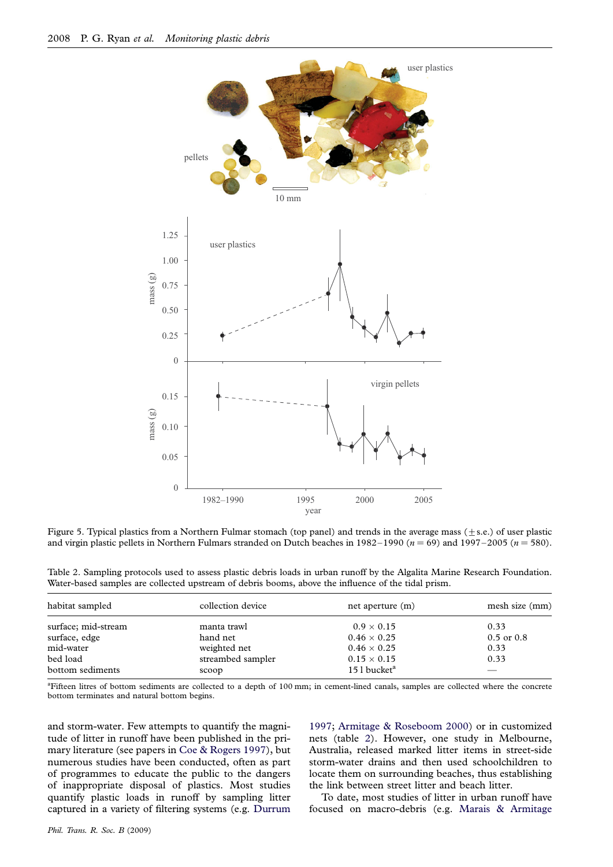<span id="page-9-0"></span>

Figure 5. Typical plastics from a Northern Fulmar stomach (top panel) and trends in the average mass ( $\pm$ s.e.) of user plastic and virgin plastic pellets in Northern Fulmars stranded on Dutch beaches in 1982–1990 ( $n = 69$ ) and 1997–2005 ( $n = 580$ ).

Table 2. Sampling protocols used to assess plastic debris loads in urban runoff by the Algalita Marine Research Foundation. Water-based samples are collected upstream of debris booms, above the influence of the tidal prism.

| habitat sampled     | collection device | net aperture (m)        | mesh size (mm) |
|---------------------|-------------------|-------------------------|----------------|
| surface; mid-stream | manta trawl       | $0.9 \times 0.15$       | 0.33           |
| surface, edge       | hand net          | $0.46 \times 0.25$      | $0.5$ or $0.8$ |
| mid-water           | weighted net      | $0.46 \times 0.25$      | 0.33           |
| bed load            | streambed sampler | $0.15 \times 0.15$      | 0.33           |
| bottom sediments    | scoop             | 151 bucket <sup>a</sup> |                |

<sup>a</sup>Fifteen litres of bottom sediments are collected to a depth of 100 mm; in cement-lined canals, samples are collected where the concrete bottom terminates and natural bottom begins.

and storm-water. Few attempts to quantify the magnitude of litter in runoff have been published in the primary literature (see papers in [Coe & Rogers 1997](#page-11-0)), but numerous studies have been conducted, often as part of programmes to educate the public to the dangers of inappropriate disposal of plastics. Most studies quantify plastic loads in runoff by sampling litter captured in a variety of filtering systems (e.g. [Durrum](#page-11-0)

[1997](#page-11-0); [Armitage & Roseboom 2000](#page-10-0)) or in customized nets (table 2). However, one study in Melbourne, Australia, released marked litter items in street-side storm-water drains and then used schoolchildren to locate them on surrounding beaches, thus establishing the link between street litter and beach litter.

To date, most studies of litter in urban runoff have focused on macro-debris (e.g. [Marais & Armitage](#page-12-0)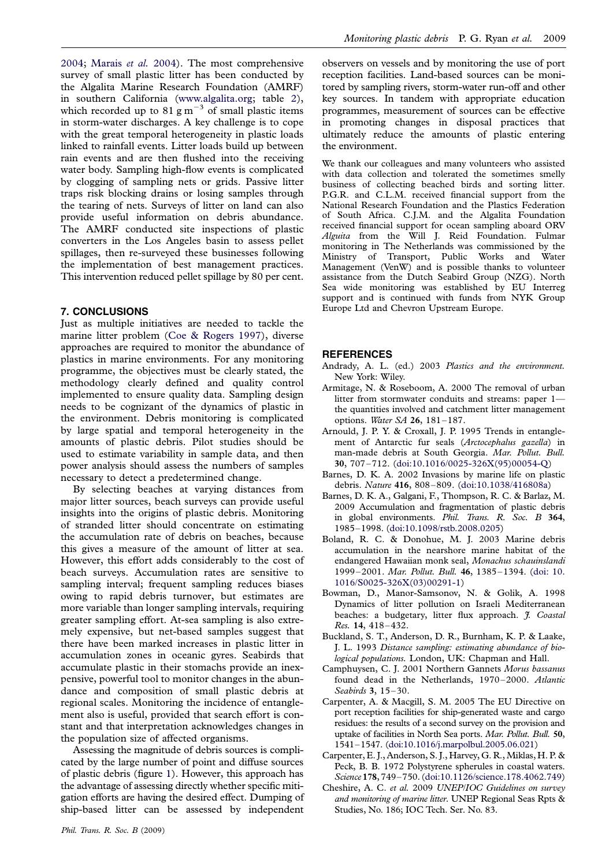<span id="page-10-0"></span>[2004](#page-12-0); [Marais](#page-12-0) et al. 2004). The most comprehensive survey of small plastic litter has been conducted by the Algalita Marine Research Foundation (AMRF) in southern California ([www.algalita.org](http://www.algalita.org); table [2](#page-9-0)), which recorded up to 81 g m<sup> $-3$ </sup> of small plastic items in storm-water discharges. A key challenge is to cope with the great temporal heterogeneity in plastic loads linked to rainfall events. Litter loads build up between rain events and are then flushed into the receiving water body. Sampling high-flow events is complicated by clogging of sampling nets or grids. Passive litter traps risk blocking drains or losing samples through the tearing of nets. Surveys of litter on land can also provide useful information on debris abundance. The AMRF conducted site inspections of plastic converters in the Los Angeles basin to assess pellet spillages, then re-surveyed these businesses following the implementation of best management practices. This intervention reduced pellet spillage by 80 per cent.

# 7. CONCLUSIONS

Just as multiple initiatives are needed to tackle the marine litter problem [\(Coe & Rogers 1997\)](#page-11-0), diverse approaches are required to monitor the abundance of plastics in marine environments. For any monitoring programme, the objectives must be clearly stated, the methodology clearly defined and quality control implemented to ensure quality data. Sampling design needs to be cognizant of the dynamics of plastic in the environment. Debris monitoring is complicated by large spatial and temporal heterogeneity in the amounts of plastic debris. Pilot studies should be used to estimate variability in sample data, and then power analysis should assess the numbers of samples necessary to detect a predetermined change.

By selecting beaches at varying distances from major litter sources, beach surveys can provide useful insights into the origins of plastic debris. Monitoring of stranded litter should concentrate on estimating the accumulation rate of debris on beaches, because this gives a measure of the amount of litter at sea. However, this effort adds considerably to the cost of beach surveys. Accumulation rates are sensitive to sampling interval; frequent sampling reduces biases owing to rapid debris turnover, but estimates are more variable than longer sampling intervals, requiring greater sampling effort. At-sea sampling is also extremely expensive, but net-based samples suggest that there have been marked increases in plastic litter in accumulation zones in oceanic gyres. Seabirds that accumulate plastic in their stomachs provide an inexpensive, powerful tool to monitor changes in the abundance and composition of small plastic debris at regional scales. Monitoring the incidence of entanglement also is useful, provided that search effort is constant and that interpretation acknowledges changes in the population size of affected organisms.

Assessing the magnitude of debris sources is complicated by the large number of point and diffuse sources of plastic debris (figure [1\)](#page-1-0). However, this approach has the advantage of assessing directly whether specific mitigation efforts are having the desired effect. Dumping of ship-based litter can be assessed by independent

observers on vessels and by monitoring the use of port reception facilities. Land-based sources can be monitored by sampling rivers, storm-water run-off and other key sources. In tandem with appropriate education programmes, measurement of sources can be effective in promoting changes in disposal practices that ultimately reduce the amounts of plastic entering the environment.

We thank our colleagues and many volunteers who assisted with data collection and tolerated the sometimes smelly business of collecting beached birds and sorting litter. P.G.R. and C.L.M. received financial support from the National Research Foundation and the Plastics Federation of South Africa. C.J.M. and the Algalita Foundation received financial support for ocean sampling aboard ORV Alguita from the Will J. Reid Foundation. Fulmar monitoring in The Netherlands was commissioned by the Ministry of Transport, Public Works and Water Management (VenW) and is possible thanks to volunteer assistance from the Dutch Seabird Group (NZG). North Sea wide monitoring was established by EU Interreg support and is continued with funds from NYK Group Europe Ltd and Chevron Upstream Europe.

## **REFERENCES**

- Andrady, A. L. (ed.) 2003 Plastics and the environment. New York: Wiley.
- Armitage, N. & Roseboom, A. 2000 The removal of urban litter from stormwater conduits and streams: paper 1 the quantities involved and catchment litter management options. Water SA 26, 181–187.
- Arnould, J. P. Y. & Croxall, J. P. 1995 Trends in entanglement of Antarctic fur seals (Arctocephalus gazella) in man-made debris at South Georgia. Mar. Pollut. Bull. 30, 707 –712. [\(doi:10.1016/0025-326X\(95\)00054-Q\)](http://dx.doi.org/doi:10.1016/0025-326X(95)00054-Q)
- Barnes, D. K. A. 2002 Invasions by marine life on plastic debris. Nature 416, 808–809. ([doi:10.1038/416808a](http://dx.doi.org/doi:10.1038/416808a))
- Barnes, D. K. A., Galgani, F., Thompson, R. C. & Barlaz, M. 2009 Accumulation and fragmentation of plastic debris in global environments. Phil. Trans. R. Soc. B 364, 1985–1998. ([doi:10.1098/rstb.2008.0205\)](http://dx.doi.org/doi:10.1098/rstb.2008.0205)
- Boland, R. C. & Donohue, M. J. 2003 Marine debris accumulation in the nearshore marine habitat of the endangered Hawaiian monk seal, Monachus schauinslandi 1999–2001. Mar. Pollut. Bull. 46, 1385–1394. [\(doi: 10.](http://dx.doi.org/doi:10.1016/S0025-326X(03)00291-1) [1016/S0025-326X\(03\)00291-1\)](http://dx.doi.org/doi:10.1016/S0025-326X(03)00291-1)
- Bowman, D., Manor-Samsonov, N. & Golik, A. 1998 Dynamics of litter pollution on Israeli Mediterranean beaches: a budgetary, litter flux approach. *J. Coastal* Res. 14, 418–432.
- Buckland, S. T., Anderson, D. R., Burnham, K. P. & Laake, J. L. 1993 Distance sampling: estimating abundance of biological populations. London, UK: Chapman and Hall.
- Camphuysen, C. J. 2001 Northern Gannets Morus bassanus found dead in the Netherlands, 1970–2000. Atlantic Seabirds 3, 15–30.
- Carpenter, A. & Macgill, S. M. 2005 The EU Directive on port reception facilities for ship-generated waste and cargo residues: the results of a second survey on the provision and uptake of facilities in North Sea ports. Mar. Pollut. Bull. 50, 1541–1547. ([doi:10.1016/j.marpolbul.2005.06.021](http://dx.doi.org/doi:10.1016/j.marpolbul.2005.06.021))
- Carpenter, E. J., Anderson, S. J., Harvey, G. R., Miklas, H. P. & Peck, B. B. 1972 Polystyrene spherules in coastal waters. Science 178, 749–750. ([doi:10.1126/science.178.4062.749\)](http://dx.doi.org/doi:10.1126/science.178.4062.749)
- Cheshire, A. C. et al. 2009 UNEP/IOC Guidelines on survey and monitoring of marine litter. UNEP Regional Seas Rpts & Studies, No. 186; IOC Tech. Ser. No. 83.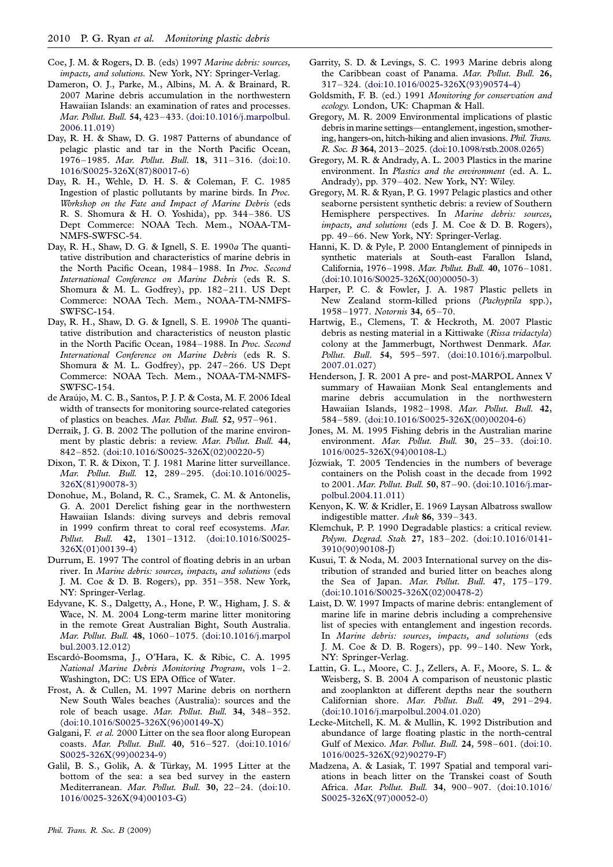- <span id="page-11-0"></span>Coe, J. M. & Rogers, D. B. (eds) 1997 Marine debris: sources, impacts, and solutions. New York, NY: Springer-Verlag.
- Dameron, O. J., Parke, M., Albins, M. A. & Brainard, R. 2007 Marine debris accumulation in the northwestern Hawaiian Islands: an examination of rates and processes. Mar. Pollut. Bull. 54, 423 –433. [\(doi:10.1016/j.marpolbul.](http://dx.doi.org/doi:10.1016/j.marpolbul.2006.11.019) [2006.11.019](http://dx.doi.org/doi:10.1016/j.marpolbul.2006.11.019))
- Day, R. H. & Shaw, D. G. 1987 Patterns of abundance of pelagic plastic and tar in the North Pacific Ocean, 1976–1985. Mar. Pollut. Bull. 18, 311–316. ([doi:10.](http://dx.doi.org/doi:10.1016/S0025-326X(87)80017-6) [1016/S0025-326X\(87\)80017-6\)](http://dx.doi.org/doi:10.1016/S0025-326X(87)80017-6)
- Day, R. H., Wehle, D. H. S. & Coleman, F. C. 1985 Ingestion of plastic pollutants by marine birds. In Proc. Workshop on the Fate and Impact of Marine Debris (eds R. S. Shomura & H. O. Yoshida), pp. 344 –386. US Dept Commerce: NOAA Tech. Mem., NOAA-TM-NMFS-SWFSC-54.
- Day, R. H., Shaw, D. G. & Ignell, S. E. 1990a The quantitative distribution and characteristics of marine debris in the North Pacific Ocean, 1984–1988. In Proc. Second International Conference on Marine Debris (eds R. S. Shomura & M. L. Godfrey), pp. 182–211. US Dept Commerce: NOAA Tech. Mem., NOAA-TM-NMFS-SWFSC-154.
- Day, R. H., Shaw, D. G. & Ignell, S. E. 1990b The quantitative distribution and characteristics of neuston plastic in the North Pacific Ocean, 1984–1988. In Proc. Second International Conference on Marine Debris (eds R. S. Shomura & M. L. Godfrey), pp. 247–266. US Dept Commerce: NOAA Tech. Mem., NOAA-TM-NMFS-SWFSC-154.
- de Arau´jo, M. C. B., Santos, P. J. P. & Costa, M. F. 2006 Ideal width of transects for monitoring source-related categories of plastics on beaches. Mar. Pollut. Bull. 52, 957–961.
- Derraik, J. G. B. 2002 The pollution of the marine environment by plastic debris: a review. Mar. Pollut. Bull. 44, 842 –852. [\(doi:10.1016/S0025-326X\(02\)00220-5\)](http://dx.doi.org/doi:10.1016/S0025-326X(02)00220-5)
- Dixon, T. R. & Dixon, T. J. 1981 Marine litter surveillance. Mar. Pollut. Bull. 12, 289 –295. [\(doi:10.1016/0025-](http://dx.doi.org/doi:10.1016/0025-326X(81)90078-3) [326X\(81\)90078-3](http://dx.doi.org/doi:10.1016/0025-326X(81)90078-3))
- Donohue, M., Boland, R. C., Sramek, C. M. & Antonelis, G. A. 2001 Derelict fishing gear in the northwestern Hawaiian Islands: diving surveys and debris removal in 1999 confirm threat to coral reef ecosystems. Mar. Pollut. Bull. 42, 1301–1312. ([doi:10.1016/S0025-](http://dx.doi.org/doi:10.1016/S0025-326X(01)00139-4) [326X\(01\)00139-4](http://dx.doi.org/doi:10.1016/S0025-326X(01)00139-4))
- Durrum, E. 1997 The control of floating debris in an urban river. In Marine debris: sources, impacts, and solutions (eds J. M. Coe & D. B. Rogers), pp. 351 –358. New York, NY: Springer-Verlag.
- Edyvane, K. S., Dalgetty, A., Hone, P. W., Higham, J. S. & Wace, N. M. 2004 Long-term marine litter monitoring in the remote Great Australian Bight, South Australia. Mar. Pollut. Bull. 48, 1060–1075. [\(doi:10.1016/j.marpol](http://dx.doi.org/doi:10.1016/j.marpolbul.2003.12.012) [bul.2003.12.012](http://dx.doi.org/doi:10.1016/j.marpolbul.2003.12.012))
- Escardo´-Boomsma, J., O'Hara, K. & Ribic, C. A. 1995 National Marine Debris Monitoring Program, vols 1–2. Washington, DC: US EPA Office of Water.
- Frost, A. & Cullen, M. 1997 Marine debris on northern New South Wales beaches (Australia): sources and the role of beach usage. Mar. Pollut. Bull. 34, 348-352. ([doi:10.1016/S0025-326X\(96\)00149-X](http://dx.doi.org/doi:10.1016/S0025-326X(96)00149-X))
- Galgani, F. et al. 2000 Litter on the sea floor along European coasts. Mar. Pollut. Bull. 40, 516–527. [\(doi:10.1016/](http://dx.doi.org/doi:10.1016/S0025-326X(99)00234-9) [S0025-326X\(99\)00234-9\)](http://dx.doi.org/doi:10.1016/S0025-326X(99)00234-9)
- Galil, B. S., Golik, A. & Türkay, M. 1995 Litter at the bottom of the sea: a sea bed survey in the eastern Mediterranean. Mar. Pollut. Bull. 30, 22–24. ([doi:10.](http://dx.doi.org/doi:10.1016/0025-326X(94)00103-G) [1016/0025-326X\(94\)00103-G](http://dx.doi.org/doi:10.1016/0025-326X(94)00103-G))
- Garrity, S. D. & Levings, S. C. 1993 Marine debris along the Caribbean coast of Panama. Mar. Pollut. Bull. 26, 317 –324. [\(doi:10.1016/0025-326X\(93\)90574-4](http://dx.doi.org/doi:10.1016/0025-326X(93)90574-4))
- Goldsmith, F. B. (ed.) 1991 Monitoring for conservation and ecology. London, UK: Chapman & Hall.
- Gregory, M. R. 2009 Environmental implications of plastic debris in marine settings—entanglement, ingestion, smothering, hangers-on, hitch-hiking and alien invasions. Phil. Trans. R. Soc. B 364, 2013–2025. [\(doi:10.1098/rstb.2008.0265](http://dx.doi.org/doi:10.1098/rstb.2008.0265))
- Gregory, M. R. & Andrady, A. L. 2003 Plastics in the marine environment. In Plastics and the environment (ed. A. L. Andrady), pp. 379 –402. New York, NY: Wiley.
- Gregory, M. R. & Ryan, P. G. 1997 Pelagic plastics and other seaborne persistent synthetic debris: a review of Southern Hemisphere perspectives. In Marine debris: sources, impacts, and solutions (eds J. M. Coe & D. B. Rogers), pp. 49–66. New York, NY: Springer-Verlag.
- Hanni, K. D. & Pyle, P. 2000 Entanglement of pinnipeds in synthetic materials at South-east Farallon Island, California, 1976–1998. Mar. Pollut. Bull. 40, 1076–1081. ([doi:10.1016/S0025-326X\(00\)00050-3](http://dx.doi.org/doi:10.1016/S0025-326X(00)00050-3))
- Harper, P. C. & Fowler, J. A. 1987 Plastic pellets in New Zealand storm-killed prions (Pachyptila spp.), 1958–1977. Notornis 34, 65–70.
- Hartwig, E., Clemens, T. & Heckroth, M. 2007 Plastic debris as nesting material in a Kittiwake (Rissa tridactyla) colony at the Jammerbugt, Northwest Denmark. Mar. Pollut. Bull. 54, 595–597. [\(doi:10.1016/j.marpolbul.](http://dx.doi.org/doi:10.1016/j.marpolbul.2007.01.027) [2007.01.027](http://dx.doi.org/doi:10.1016/j.marpolbul.2007.01.027))
- Henderson, J. R. 2001 A pre- and post-MARPOL Annex V summary of Hawaiian Monk Seal entanglements and marine debris accumulation in the northwestern Hawaiian Islands, 1982–1998. Mar. Pollut. Bull. 42, 584 –589. [\(doi:10.1016/S0025-326X\(00\)00204-6\)](http://dx.doi.org/doi:10.1016/S0025-326X(00)00204-6)
- Jones, M. M. 1995 Fishing debris in the Australian marine environment. Mar. Pollut. Bull. 30, 25-33. ([doi:10.](http://dx.doi.org/doi:10.1016/0025-326X(94)00108-L) [1016/0025-326X\(94\)00108-L\)](http://dx.doi.org/doi:10.1016/0025-326X(94)00108-L)
- Józwiak, T. 2005 Tendencies in the numbers of beverage containers on the Polish coast in the decade from 1992 to 2001. Mar. Pollut. Bull. 50, 87–90. ([doi:10.1016/j.mar](http://dx.doi.org/doi:10.1016/j.marpolbul.2004.11.011)[polbul.2004.11.011\)](http://dx.doi.org/doi:10.1016/j.marpolbul.2004.11.011)
- Kenyon, K. W. & Kridler, E. 1969 Laysan Albatross swallow indigestible matter. Auk 86, 339 –343.
- Klemchuk, P. P. 1990 Degradable plastics: a critical review. Polym. Degrad. Stab. 27, 183–202. [\(doi:10.1016/0141-](http://dx.doi.org/doi:10.1016/0141-3910(90)90108-J) [3910\(90\)90108-J](http://dx.doi.org/doi:10.1016/0141-3910(90)90108-J))
- Kusui, T. & Noda, M. 2003 International survey on the distribution of stranded and buried litter on beaches along the Sea of Japan. Mar. Pollut. Bull. 47, 175-179. ([doi:10.1016/S0025-326X\(02\)00478-2](http://dx.doi.org/doi:10.1016/S0025-326X(02)00478-2))
- Laist, D. W. 1997 Impacts of marine debris: entanglement of marine life in marine debris including a comprehensive list of species with entanglement and ingestion records. In Marine debris: sources, impacts, and solutions (eds J. M. Coe & D. B. Rogers), pp. 99-140. New York, NY: Springer-Verlag.
- Lattin, G. L., Moore, C. J., Zellers, A. F., Moore, S. L. & Weisberg, S. B. 2004 A comparison of neustonic plastic and zooplankton at different depths near the southern Californian shore. Mar. Pollut. Bull. 49, 291-294. ([doi:10.1016/j.marpolbul.2004.01.020\)](http://dx.doi.org/doi:10.1016/j.marpolbul.2004.01.020)
- Lecke-Mitchell, K. M. & Mullin, K. 1992 Distribution and abundance of large floating plastic in the north-central Gulf of Mexico. Mar. Pollut. Bull. 24, 598 –601. ([doi:10.](http://dx.doi.org/doi:10.1016/0025-326X(92)90279-F) [1016/0025-326X\(92\)90279-F\)](http://dx.doi.org/doi:10.1016/0025-326X(92)90279-F)
- Madzena, A. & Lasiak, T. 1997 Spatial and temporal variations in beach litter on the Transkei coast of South Africa. Mar. Pollut. Bull. 34, 900-907. [\(doi:10.1016/](http://dx.doi.org/doi:10.1016/S0025-326X(97)00052-0) [S0025-326X\(97\)00052-0\)](http://dx.doi.org/doi:10.1016/S0025-326X(97)00052-0)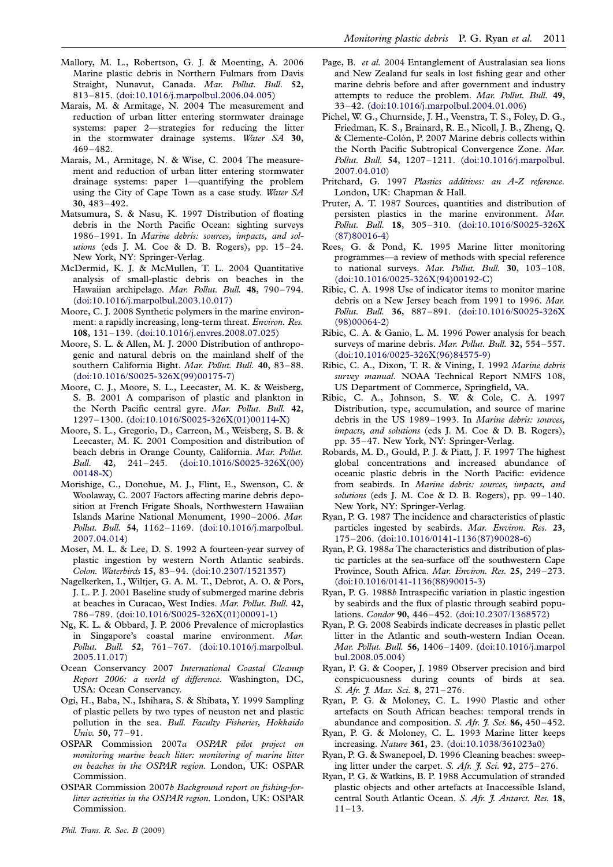- <span id="page-12-0"></span>Mallory, M. L., Robertson, G. J. & Moenting, A. 2006 Marine plastic debris in Northern Fulmars from Davis Straight, Nunavut, Canada. Mar. Pollut. Bull. 52, 813 –815. [\(doi:10.1016/j.marpolbul.2006.04.005](http://dx.doi.org/doi:10.1016/j.marpolbul.2006.04.005))
- Marais, M. & Armitage, N. 2004 The measurement and reduction of urban litter entering stormwater drainage systems: paper 2—strategies for reducing the litter in the stormwater drainage systems. Water SA 30, 469 –482.
- Marais, M., Armitage, N. & Wise, C. 2004 The measurement and reduction of urban litter entering stormwater drainage systems: paper 1—quantifying the problem using the City of Cape Town as a case study. Water SA 30, 483–492.
- Matsumura, S. & Nasu, K. 1997 Distribution of floating debris in the North Pacific Ocean: sighting surveys 1986–1991. In Marine debris: sources, impacts, and solutions (eds J. M. Coe & D. B. Rogers), pp.  $15-24$ . New York, NY: Springer-Verlag.
- McDermid, K. J. & McMullen, T. L. 2004 Quantitative analysis of small-plastic debris on beaches in the Hawaiian archipelago. Mar. Pollut. Bull. 48, 790-794. [\(doi:10.1016/j.marpolbul.2003.10.017\)](http://dx.doi.org/doi:10.1016/j.marpolbul.2003.10.017)
- Moore, C. J. 2008 Synthetic polymers in the marine environment: a rapidly increasing, long-term threat. Environ. Res. 108, 131 –139. ([doi:10.1016/j.envres.2008.07.025\)](http://dx.doi.org/doi:10.1016/j.envres.2008.07.025)
- Moore, S. L. & Allen, M. J. 2000 Distribution of anthropogenic and natural debris on the mainland shelf of the southern California Bight. Mar. Pollut. Bull. 40, 83-88. [\(doi:10.1016/S0025-326X\(99\)00175-7\)](http://dx.doi.org/doi:10.1016/S0025-326X(99)00175-7)
- Moore, C. J., Moore, S. L., Leecaster, M. K. & Weisberg, S. B. 2001 A comparison of plastic and plankton in the North Pacific central gyre. Mar. Pollut. Bull. 42, 1297–1300. [\(doi:10.1016/S0025-326X\(01\)00114-X](http://dx.doi.org/doi:10.1016/S0025-326X(01)00114-X))
- Moore, S. L., Gregorio, D., Carreon, M., Weisberg, S. B. & Leecaster, M. K. 2001 Composition and distribution of beach debris in Orange County, California. Mar. Pollut. Bull. 42, 241–245. ([doi:10.1016/S0025-326X\(00\)](http://dx.doi.org/doi:10.1016/S0025-326X(00)00148-X) [00148-X](http://dx.doi.org/doi:10.1016/S0025-326X(00)00148-X))
- Morishige, C., Donohue, M. J., Flint, E., Swenson, C. & Woolaway, C. 2007 Factors affecting marine debris deposition at French Frigate Shoals, Northwestern Hawaiian Islands Marine National Monument, 1990–2006. Mar. Pollut. Bull. 54, 1162–1169. ([doi:10.1016/j.marpolbul.](http://dx.doi.org/doi:10.1016/j.marpolbul.2007.04.014) [2007.04.014\)](http://dx.doi.org/doi:10.1016/j.marpolbul.2007.04.014)
- Moser, M. L. & Lee, D. S. 1992 A fourteen-year survey of plastic ingestion by western North Atlantic seabirds. Colon. Waterbirds 15, 83–94. ([doi:10.2307/1521357](http://dx.doi.org/doi:10.2307/1521357))
- Nagelkerken, I., Wiltjer, G. A. M. T., Debrot, A. O. & Pors, J. L. P. J. 2001 Baseline study of submerged marine debris at beaches in Curacao, West Indies. Mar. Pollut. Bull. 42, 786 –789. [\(doi:10.1016/S0025-326X\(01\)00091-1\)](http://dx.doi.org/doi:10.1016/S0025-326X(01)00091-1)
- Ng, K. L. & Obbard, J. P. 2006 Prevalence of microplastics in Singapore's coastal marine environment. Mar. Pollut. Bull. 52, 761–767. ([doi:10.1016/j.marpolbul.](http://dx.doi.org/doi:10.1016/j.marpolbul.2005.11.017) [2005.11.017\)](http://dx.doi.org/doi:10.1016/j.marpolbul.2005.11.017)
- Ocean Conservancy 2007 International Coastal Cleanup Report 2006: a world of difference. Washington, DC, USA: Ocean Conservancy.
- Ogi, H., Baba, N., Ishihara, S. & Shibata, Y. 1999 Sampling of plastic pellets by two types of neuston net and plastic pollution in the sea. Bull. Faculty Fisheries, Hokkaido Univ. 50, 77–91.
- OSPAR Commission 2007a OSPAR pilot project on monitoring marine beach litter: monitoring of marine litter on beaches in the OSPAR region. London, UK: OSPAR Commission.
- OSPAR Commission 2007b Background report on fishing-forlitter activities in the OSPAR region. London, UK: OSPAR Commission.
- Page, B. et al. 2004 Entanglement of Australasian sea lions and New Zealand fur seals in lost fishing gear and other marine debris before and after government and industry attempts to reduce the problem. Mar. Pollut. Bull. 49, 33–42. [\(doi:10.1016/j.marpolbul.2004.01.006](http://dx.doi.org/doi:10.1016/j.marpolbul.2004.01.006))
- Pichel, W. G., Churnside, J. H., Veenstra, T. S., Foley, D. G., Friedman, K. S., Brainard, R. E., Nicoll, J. B., Zheng, Q. & Clemente-Colón, P. 2007 Marine debris collects within the North Pacific Subtropical Convergence Zone. Mar. Pollut. Bull. 54, 1207–1211. ([doi:10.1016/j.marpolbul.](http://dx.doi.org/doi:10.1016/j.marpolbul.2007.04.010) [2007.04.010\)](http://dx.doi.org/doi:10.1016/j.marpolbul.2007.04.010)
- Pritchard, G. 1997 Plastics additives: an A-Z reference. London, UK: Chapman & Hall.
- Pruter, A. T. 1987 Sources, quantities and distribution of persisten plastics in the marine environment. Mar. Pollut. Bull. 18, 305-310. ([doi:10.1016/S0025-326X](http://dx.doi.org/doi:10.1016/S0025-326X(87)80016-4) [\(87\)80016-4\)](http://dx.doi.org/doi:10.1016/S0025-326X(87)80016-4)
- Rees, G. & Pond, K. 1995 Marine litter monitoring programmes—a review of methods with special reference to national surveys. Mar. Pollut. Bull. 30, 103-108. [\(doi:10.1016/0025-326X\(94\)00192-C\)](http://dx.doi.org/doi:10.1016/0025-326X(94)00192-C)
- Ribic, C. A. 1998 Use of indicator items to monitor marine debris on a New Jersey beach from 1991 to 1996. Mar. Pollut. Bull. 36, 887 –891. ([doi:10.1016/S0025-326X](http://dx.doi.org/doi:10.1016/S0025-326X(98)00064-2) [\(98\)00064-2\)](http://dx.doi.org/doi:10.1016/S0025-326X(98)00064-2)
- Ribic, C. A. & Ganio, L. M. 1996 Power analysis for beach surveys of marine debris. Mar. Pollut. Bull. 32, 554-557. [\(doi:10.1016/0025-326X\(96\)84575-9](http://dx.doi.org/doi:10.1016/0025-326X(96)84575-9))
- Ribic, C. A., Dixon, T. R. & Vining, I. 1992 Marine debris survey manual. NOAA Technical Report NMFS 108, US Department of Commerce, Springfield, VA.
- Ribic, C. A., Johnson, S. W. & Cole, C. A. 1997 Distribution, type, accumulation, and source of marine debris in the US 1989–1993. In Marine debris: sources, impacts, and solutions (eds J. M. Coe & D. B. Rogers), pp. 35–47. New York, NY: Springer-Verlag.
- Robards, M. D., Gould, P. J. & Piatt, J. F. 1997 The highest global concentrations and increased abundance of oceanic plastic debris in the North Pacific: evidence from seabirds. In Marine debris: sources, impacts, and solutions (eds J. M. Coe & D. B. Rogers), pp.  $99-140$ . New York, NY: Springer-Verlag.
- Ryan, P. G. 1987 The incidence and characteristics of plastic particles ingested by seabirds. Mar. Environ. Res. 23, 175–206. [\(doi:10.1016/0141-1136\(87\)90028-6](http://dx.doi.org/doi:10.1016/0141-1136(87)90028-6))
- Ryan, P. G. 1988a The characteristics and distribution of plastic particles at the sea-surface off the southwestern Cape Province, South Africa. Mar. Environ. Res. 25, 249–273. [\(doi:10.1016/0141-1136\(88\)90015-3](http://dx.doi.org/doi:10.1016/0141-1136(88)90015-3))
- Ryan, P. G. 1988b Intraspecific variation in plastic ingestion by seabirds and the flux of plastic through seabird populations. Condor 90, 446 –452. [\(doi:10.2307/1368572\)](http://dx.doi.org/doi:10.2307/1368572)
- Ryan, P. G. 2008 Seabirds indicate decreases in plastic pellet litter in the Atlantic and south-western Indian Ocean. Mar. Pollut. Bull. 56, 1406–1409. [\(doi:10.1016/j.marpol](http://dx.doi.org/doi:10.1016/j.marpolbul.2008.05.004) [bul.2008.05.004](http://dx.doi.org/doi:10.1016/j.marpolbul.2008.05.004))
- Ryan, P. G. & Cooper, J. 1989 Observer precision and bird conspicuousness during counts of birds at sea. S. Afr. J. Mar. Sci. 8, 271-276.
- Ryan, P. G. & Moloney, C. L. 1990 Plastic and other artefacts on South African beaches: temporal trends in abundance and composition. S. Afr.  $\tilde{f}$ . Sci. 86, 450-452.
- Ryan, P. G. & Moloney, C. L. 1993 Marine litter keeps increasing. Nature 361, 23. [\(doi:10.1038/361023a0](http://dx.doi.org/doi:10.1038/361023a0))
- Ryan, P. G. & Swanepoel, D. 1996 Cleaning beaches: sweeping litter under the carpet. S. Afr. J. Sci. 92, 275–276.
- Ryan, P. G. & Watkins, B. P. 1988 Accumulation of stranded plastic objects and other artefacts at Inaccessible Island, central South Atlantic Ocean. S. Afr. J. Antarct. Res. 18, 11–13.